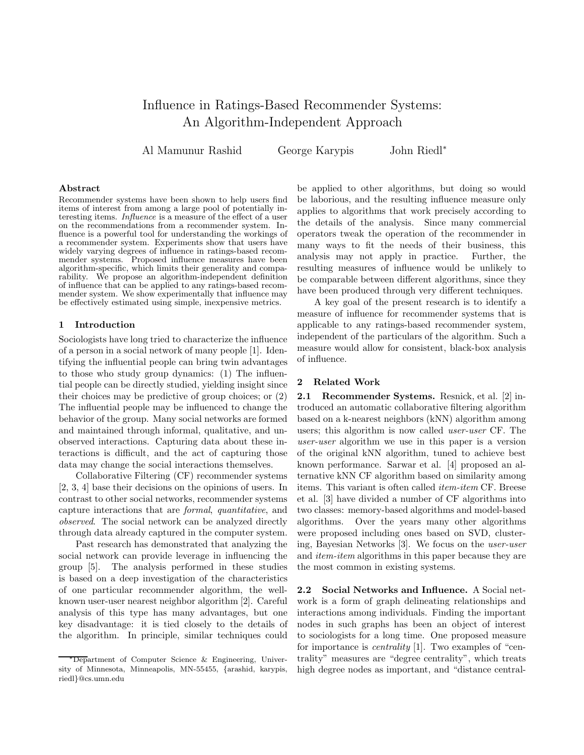# Influence in Ratings-Based Recommender Systems: An Algorithm-Independent Approach

Al Mamunur Rashid George Karypis John Riedl<sup>∗</sup>

## Abstract

Recommender systems have been shown to help users find items of interest from among a large pool of potentially interesting items. Influence is a measure of the effect of a user on the recommendations from a recommender system. Influence is a powerful tool for understanding the workings of a recommender system. Experiments show that users have widely varying degrees of influence in ratings-based recommender systems. Proposed influence measures have been algorithm-specific, which limits their generality and comparability. We propose an algorithm-independent definition of influence that can be applied to any ratings-based recommender system. We show experimentally that influence may be effectively estimated using simple, inexpensive metrics.

## 1 Introduction

Sociologists have long tried to characterize the influence of a person in a social network of many people [1]. Identifying the influential people can bring twin advantages to those who study group dynamics: (1) The influential people can be directly studied, yielding insight since their choices may be predictive of group choices; or (2) The influential people may be influenced to change the behavior of the group. Many social networks are formed and maintained through informal, qualitative, and unobserved interactions. Capturing data about these interactions is difficult, and the act of capturing those data may change the social interactions themselves.

Collaborative Filtering (CF) recommender systems [2, 3, 4] base their decisions on the opinions of users. In contrast to other social networks, recommender systems capture interactions that are formal, quantitative, and observed. The social network can be analyzed directly through data already captured in the computer system.

Past research has demonstrated that analyzing the social network can provide leverage in influencing the group [5]. The analysis performed in these studies is based on a deep investigation of the characteristics of one particular recommender algorithm, the wellknown user-user nearest neighbor algorithm [2]. Careful analysis of this type has many advantages, but one key disadvantage: it is tied closely to the details of the algorithm. In principle, similar techniques could

be applied to other algorithms, but doing so would be laborious, and the resulting influence measure only applies to algorithms that work precisely according to the details of the analysis. Since many commercial operators tweak the operation of the recommender in many ways to fit the needs of their business, this analysis may not apply in practice. Further, the resulting measures of influence would be unlikely to be comparable between different algorithms, since they have been produced through very different techniques.

A key goal of the present research is to identify a measure of influence for recommender systems that is applicable to any ratings-based recommender system, independent of the particulars of the algorithm. Such a measure would allow for consistent, black-box analysis of influence.

## 2 Related Work

2.1 Recommender Systems. Resnick, et al. [2] introduced an automatic collaborative filtering algorithm based on a k-nearest neighbors (kNN) algorithm among users; this algorithm is now called user-user CF. The user-user algorithm we use in this paper is a version of the original kNN algorithm, tuned to achieve best known performance. Sarwar et al. [4] proposed an alternative kNN CF algorithm based on similarity among items. This variant is often called item-item CF. Breese et al. [3] have divided a number of CF algorithms into two classes: memory-based algorithms and model-based algorithms. Over the years many other algorithms were proposed including ones based on SVD, clustering, Bayesian Networks [3]. We focus on the user-user and *item-item* algorithms in this paper because they are the most common in existing systems.

2.2 Social Networks and Influence. A Social network is a form of graph delineating relationships and interactions among individuals. Finding the important nodes in such graphs has been an object of interest to sociologists for a long time. One proposed measure for importance is centrality [1]. Two examples of "centrality" measures are "degree centrality", which treats high degree nodes as important, and "distance central-

<sup>∗</sup>Department of Computer Science & Engineering, University of Minnesota, Minneapolis, MN-55455, {arashid, karypis, riedl}@cs.umn.edu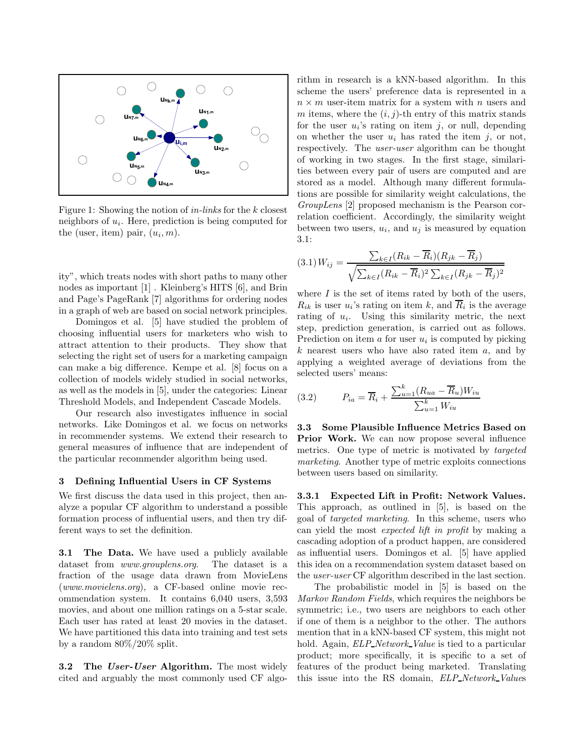

Figure 1: Showing the notion of in-links for the k closest neighbors of  $u_i$ . Here, prediction is being computed for the (user, item) pair,  $(u_i, m)$ .

ity", which treats nodes with short paths to many other nodes as important [1] . Kleinberg's HITS [6], and Brin and Page's PageRank [7] algorithms for ordering nodes in a graph of web are based on social network principles.

Domingos et al. [5] have studied the problem of choosing influential users for marketers who wish to attract attention to their products. They show that selecting the right set of users for a marketing campaign can make a big difference. Kempe et al. [8] focus on a collection of models widely studied in social networks, as well as the models in [5], under the categories: Linear Threshold Models, and Independent Cascade Models.

Our research also investigates influence in social networks. Like Domingos et al. we focus on networks in recommender systems. We extend their research to general measures of influence that are independent of the particular recommender algorithm being used.

## 3 Defining Influential Users in CF Systems

We first discuss the data used in this project, then analyze a popular CF algorithm to understand a possible formation process of influential users, and then try different ways to set the definition.

3.1 The Data. We have used a publicly available dataset from www.grouplens.org. The dataset is a fraction of the usage data drawn from MovieLens (www.movielens.org), a CF-based online movie recommendation system. It contains 6,040 users, 3,593 movies, and about one million ratings on a 5-star scale. Each user has rated at least 20 movies in the dataset. We have partitioned this data into training and test sets by a random 80%/20% split.

**3.2** The User-User Algorithm. The most widely cited and arguably the most commonly used CF algorithm in research is a kNN-based algorithm. In this scheme the users' preference data is represented in a  $n \times m$  user-item matrix for a system with n users and m items, where the  $(i, j)$ -th entry of this matrix stands for the user  $u_i$ 's rating on item j, or null, depending on whether the user  $u_i$  has rated the item j, or not, respectively. The user-user algorithm can be thought of working in two stages. In the first stage, similarities between every pair of users are computed and are stored as a model. Although many different formulations are possible for similarity weight calculations, the GroupLens [2] proposed mechanism is the Pearson correlation coefficient. Accordingly, the similarity weight between two users,  $u_i$ , and  $u_j$  is measured by equation 3.1:

$$
(3.1) W_{ij} = \frac{\sum_{k \in I} (R_{ik} - \overline{R}_i)(R_{jk} - \overline{R}_j)}{\sqrt{\sum_{k \in I} (R_{ik} - \overline{R}_i)^2 \sum_{k \in I} (R_{jk} - \overline{R}_j)^2}}
$$

where  $I$  is the set of items rated by both of the users,  $R_{ik}$  is user  $u_i$ 's rating on item k, and  $R_i$  is the average rating of  $u_i$ . Using this similarity metric, the next step, prediction generation, is carried out as follows. Prediction on item  $a$  for user  $u_i$  is computed by picking  $k$  nearest users who have also rated item  $a$ , and by applying a weighted average of deviations from the selected users' means:

(3.2) 
$$
P_{ia} = \overline{R}_i + \frac{\sum_{u=1}^k (R_{ua} - \overline{R}_u)W_{iu}}{\sum_{u=1}^k W_{iu}}
$$

3.3 Some Plausible Influence Metrics Based on Prior Work. We can now propose several influence metrics. One type of metric is motivated by targeted marketing. Another type of metric exploits connections between users based on similarity.

3.3.1 Expected Lift in Profit: Network Values. This approach, as outlined in [5], is based on the goal of targeted marketing. In this scheme, users who can yield the most expected lift in profit by making a cascading adoption of a product happen, are considered as influential users. Domingos et al. [5] have applied this idea on a recommendation system dataset based on the user-user CF algorithm described in the last section.

The probabilistic model in [5] is based on the Markov Random Fields, which requires the neighbors be symmetric; i.e., two users are neighbors to each other if one of them is a neighbor to the other. The authors mention that in a kNN-based CF system, this might not hold. Again, *ELP\_Network\_Value* is tied to a particular product; more specifically, it is specific to a set of features of the product being marketed. Translating this issue into the RS domain, ELP Network Values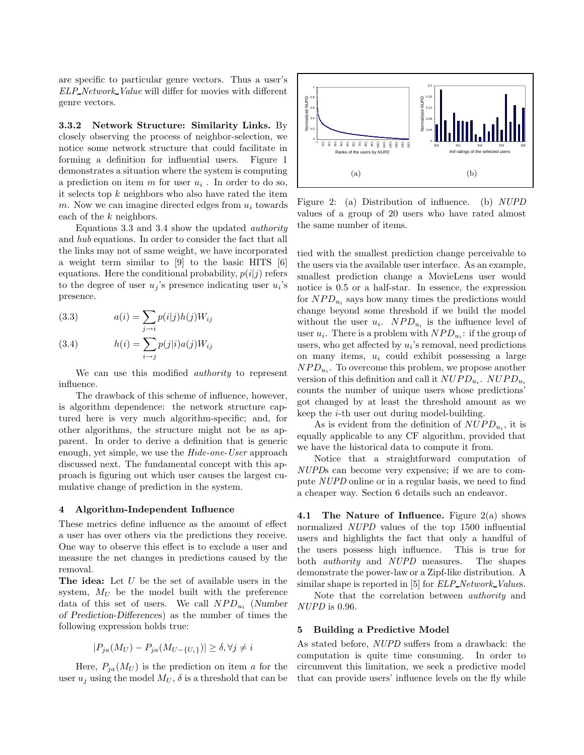are specific to particular genre vectors. Thus a user's ELP Network Value will differ for movies with different genre vectors.

3.3.2 Network Structure: Similarity Links. By closely observing the process of neighbor-selection, we notice some network structure that could facilitate in forming a definition for influential users. Figure 1 demonstrates a situation where the system is computing a prediction on item  $m$  for user  $u_i$ . In order to do so, it selects top  $k$  neighbors who also have rated the item m. Now we can imagine directed edges from  $u_i$  towards each of the k neighbors.

Equations 3.3 and 3.4 show the updated authority and hub equations. In order to consider the fact that all the links may not of same weight, we have incorporated a weight term similar to [9] to the basic HITS [6] equations. Here the conditional probability,  $p(i|j)$  refers to the degree of user  $u_j$ 's presence indicating user  $u_i$ 's presence.

(3.3) 
$$
a(i) = \sum_{j \to i} p(i|j)h(j)W_{ij}
$$

(3.4) 
$$
h(i) = \sum_{i \to j} p(j|i)a(j)W_{ij}
$$

We can use this modified authority to represent influence.

The drawback of this scheme of influence, however, is algorithm dependence: the network structure captured here is very much algorithm-specific; and, for other algorithms, the structure might not be as apparent. In order to derive a definition that is generic enough, yet simple, we use the Hide-one-User approach discussed next. The fundamental concept with this approach is figuring out which user causes the largest cumulative change of prediction in the system.

#### 4 Algorithm-Independent Influence

These metrics define influence as the amount of effect a user has over others via the predictions they receive. One way to observe this effect is to exclude a user and measure the net changes in predictions caused by the removal.

The idea: Let  $U$  be the set of available users in the system,  $M_U$  be the model built with the preference data of this set of users. We call  $NPD_{u_i}$  (Number of Prediction-Differences) as the number of times the following expression holds true:

$$
|P_{ja}(M_U) - P_{ja}(M_{U-\{U_i\}})| \ge \delta, \forall j \ne i
$$

Here,  $P_{ja}(M_U)$  is the prediction on item a for the user  $u_j$  using the model  $M_U$ ,  $\delta$  is a threshold that can be



Figure 2: (a) Distribution of influence. (b) NUPD values of a group of 20 users who have rated almost the same number of items.

tied with the smallest prediction change perceivable to the users via the available user interface. As an example, smallest prediction change a MovieLens user would notice is 0.5 or a half-star. In essence, the expression for  $NPD_{u_i}$  says how many times the predictions would change beyond some threshold if we build the model without the user  $u_i$ .  $NPD_{u_i}$  is the influence level of user  $u_i$ . There is a problem with  $NPD_{u_i}$ : if the group of users, who get affected by  $u_i$ 's removal, need predictions on many items,  $u_i$  could exhibit possessing a large  $NPD_{u_i}$ . To overcome this problem, we propose another version of this definition and call it  $NUPD_{u_i}$ .  $NUPD_{u_i}$ counts the number of unique users whose predictions' got changed by at least the threshold amount as we keep the i-th user out during model-building.

As is evident from the definition of  $NUPD_{u_i}$ , it is equally applicable to any CF algorithm, provided that we have the historical data to compute it from.

Notice that a straightforward computation of NUPDs can become very expensive; if we are to compute NUPD online or in a regular basis, we need to find a cheaper way. Section 6 details such an endeavor.

4.1 The Nature of Influence. Figure  $2(a)$  shows normalized NUPD values of the top 1500 influential users and highlights the fact that only a handful of the users possess high influence. This is true for both authority and NUPD measures. The shapes demonstrate the power-law or a Zipf-like distribution. A similar shape is reported in [5] for *ELP\_Network\_Values*.

Note that the correlation between authority and NUPD is 0.96.

#### 5 Building a Predictive Model

As stated before, NUPD suffers from a drawback: the computation is quite time consuming. In order to circumvent this limitation, we seek a predictive model that can provide users' influence levels on the fly while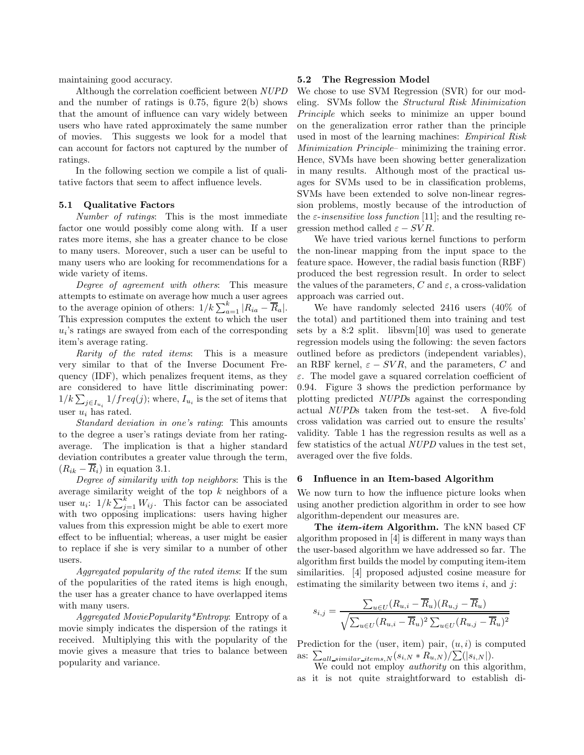maintaining good accuracy.

Although the correlation coefficient between NUPD and the number of ratings is  $0.75$ , figure  $2(b)$  shows that the amount of influence can vary widely between users who have rated approximately the same number of movies. This suggests we look for a model that can account for factors not captured by the number of ratings.

In the following section we compile a list of qualitative factors that seem to affect influence levels.

#### 5.1 Qualitative Factors

Number of ratings: This is the most immediate factor one would possibly come along with. If a user rates more items, she has a greater chance to be close to many users. Moreover, such a user can be useful to many users who are looking for recommendations for a wide variety of items.

Degree of agreement with others: This measure attempts to estimate on average how much a user agrees to the average opinion of others:  $1/k \sum_{a=1}^{k} |R_{ia} - \overline{R}_a|$ . This expression computes the extent to which the user  $u_i$ 's ratings are swayed from each of the corresponding item's average rating.

Rarity of the rated items: This is a measure very similar to that of the Inverse Document Frequency (IDF), which penalizes frequent items, as they are considered to have little discriminating power:  $1/k \sum_{j \in I_{u_i}} 1/freq(j);$  where,  $I_{u_i}$  is the set of items that user  $u_i$  has rated.

Standard deviation in one's rating: This amounts to the degree a user's ratings deviate from her ratingaverage. The implication is that a higher standard deviation contributes a greater value through the term,  $(R_{ik} - \overline{R}_i)$  in equation 3.1.

Degree of similarity with top neighbors: This is the average similarity weight of the top  $k$  neighbors of a user  $u_i$ :  $1/k \sum_{j=1}^k W_{ij}$ . This factor can be associated with two opposing implications: users having higher values from this expression might be able to exert more effect to be influential; whereas, a user might be easier to replace if she is very similar to a number of other users.

Aggregated popularity of the rated items: If the sum of the popularities of the rated items is high enough, the user has a greater chance to have overlapped items with many users.

Aggregated MoviePopularity\*Entropy: Entropy of a movie simply indicates the dispersion of the ratings it received. Multiplying this with the popularity of the movie gives a measure that tries to balance between popularity and variance.

#### 5.2 The Regression Model

We chose to use SVM Regression (SVR) for our modeling. SVMs follow the Structural Risk Minimization Principle which seeks to minimize an upper bound on the generalization error rather than the principle used in most of the learning machines: Empirical Risk Minimization Principle– minimizing the training error. Hence, SVMs have been showing better generalization in many results. Although most of the practical usages for SVMs used to be in classification problems, SVMs have been extended to solve non-linear regression problems, mostly because of the introduction of the  $\varepsilon$ -insensitive loss function [11]; and the resulting regression method called  $\varepsilon - SVR$ .

We have tried various kernel functions to perform the non-linear mapping from the input space to the feature space. However, the radial basis function (RBF) produced the best regression result. In order to select the values of the parameters, C and  $\varepsilon$ , a cross-validation approach was carried out.

We have randomly selected 2416 users (40% of the total) and partitioned them into training and test sets by a 8:2 split. libsvm[10] was used to generate regression models using the following: the seven factors outlined before as predictors (independent variables), an RBF kernel,  $\varepsilon - SVR$ , and the parameters, C and  $\varepsilon$ . The model gave a squared correlation coefficient of 0.94. Figure 3 shows the prediction performance by plotting predicted NUPDs against the corresponding actual NUPDs taken from the test-set. A five-fold cross validation was carried out to ensure the results' validity. Table 1 has the regression results as well as a few statistics of the actual NUPD values in the test set, averaged over the five folds.

## 6 Influence in an Item-based Algorithm

We now turn to how the influence picture looks when using another prediction algorithm in order to see how algorithm-dependent our measures are.

The *item-item* Algorithm. The kNN based CF algorithm proposed in [4] is different in many ways than the user-based algorithm we have addressed so far. The algorithm first builds the model by computing item-item similarities. [4] proposed adjusted cosine measure for estimating the similarity between two items  $i$ , and  $j$ :

$$
s_{i,j} = \frac{\sum_{u \in U} (R_{u,i} - \overline{R}_u)(R_{u,j} - \overline{R}_u)}{\sqrt{\sum_{u \in U} (R_{u,i} - \overline{R}_u)^2 \sum_{u \in U} (R_{u,j} - \overline{R}_u)^2}}
$$

Prediction for the (user, item) pair,  $(u, i)$  is computed as:  $\sum_{all\_similar\_items,N} (s_{i,N} * R_{u,N}) / \sum (|s_{i,N}|).$ 

We could not employ *authority* on this algorithm, as it is not quite straightforward to establish di-